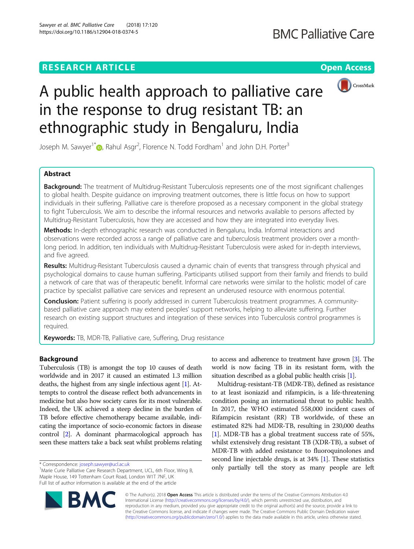## **RESEARCH ARTICLE Example 2014 12:30 The Contract of Contract ACCESS**



# A public health approach to palliative care in the response to drug resistant TB: an ethnographic study in Bengaluru, India

Joseph M. Sawyer<sup>1[\\*](http://orcid.org/0000-0002-7931-9967)</sup> $\bm{\circ}$ , Rahul Asgr<sup>2</sup>, Florence N. Todd Fordham<sup>1</sup> and John D.H. Porter<sup>3</sup>

## Abstract

**Background:** The treatment of Multidrug-Resistant Tuberculosis represents one of the most significant challenges to global health. Despite guidance on improving treatment outcomes, there is little focus on how to support individuals in their suffering. Palliative care is therefore proposed as a necessary component in the global strategy to fight Tuberculosis. We aim to describe the informal resources and networks available to persons affected by Multidrug-Resistant Tuberculosis, how they are accessed and how they are integrated into everyday lives.

Methods: In-depth ethnographic research was conducted in Bengaluru, India. Informal interactions and observations were recorded across a range of palliative care and tuberculosis treatment providers over a monthlong period. In addition, ten individuals with Multidrug-Resistant Tuberculosis were asked for in-depth interviews, and five agreed.

Results: Multidrug-Resistant Tuberculosis caused a dynamic chain of events that transgress through physical and psychological domains to cause human suffering. Participants utilised support from their family and friends to build a network of care that was of therapeutic benefit. Informal care networks were similar to the holistic model of care practice by specialist palliative care services and represent an underused resource with enormous potential.

**Conclusion:** Patient suffering is poorly addressed in current Tuberculosis treatment programmes. A communitybased palliative care approach may extend peoples' support networks, helping to alleviate suffering. Further research on existing support structures and integration of these services into Tuberculosis control programmes is required.

**Keywords:** TB, MDR-TB, Palliative care, Suffering, Drug resistance

## Background

Tuberculosis (TB) is amongst the top 10 causes of death worldwide and in 2017 it caused an estimated 1.3 million deaths, the highest from any single infectious agent [\[1\]](#page-9-0). Attempts to control the disease reflect both advancements in medicine but also how society cares for its most vulnerable. Indeed, the UK achieved a steep decline in the burden of TB before effective chemotherapy became available, indicating the importance of socio-economic factors in disease control [[2](#page-9-0)]. A dominant pharmacological approach has seen these matters take a back seat whilst problems relating



Multidrug-resistant-TB (MDR-TB), defined as resistance to at least isoniazid and rifampicin, is a life-threatening condition posing an international threat to public health. In 2017, the WHO estimated 558,000 incident cases of Rifampicin resistant (RR) TB worldwide, of these an estimated 82% had MDR-TB, resulting in 230,000 deaths [[1\]](#page-9-0). MDR-TB has a global treatment success rate of 55%, whilst extensively drug resistant TB (XDR-TB), a subset of MDR-TB with added resistance to fluoroquinolones and second line injectable drugs, is at 34% [[1](#page-9-0)]. These statistics \* Correspondence: [joseph.sawyer@ucl.ac.uk](mailto:joseph.sawyer@ucl.ac.uk) **but a computer in the story as many people are left** \* <sup>1</sup> Marie Guria Dellisting Care Records Department LICL 6th Elect Mine B **but and partially tell the story as many people ar** 



© The Author(s). 2018 Open Access This article is distributed under the terms of the Creative Commons Attribution 4.0 International License [\(http://creativecommons.org/licenses/by/4.0/](http://creativecommons.org/licenses/by/4.0/)), which permits unrestricted use, distribution, and reproduction in any medium, provided you give appropriate credit to the original author(s) and the source, provide a link to the Creative Commons license, and indicate if changes were made. The Creative Commons Public Domain Dedication waiver [\(http://creativecommons.org/publicdomain/zero/1.0/](http://creativecommons.org/publicdomain/zero/1.0/)) applies to the data made available in this article, unless otherwise stated.

<sup>&</sup>lt;sup>1</sup> Marie Curie Palliative Care Research Department, UCL, 6th Floor, Wing B, Maple House, 149 Tottenham Court Road, London W1T 7NF, UK Full list of author information is available at the end of the article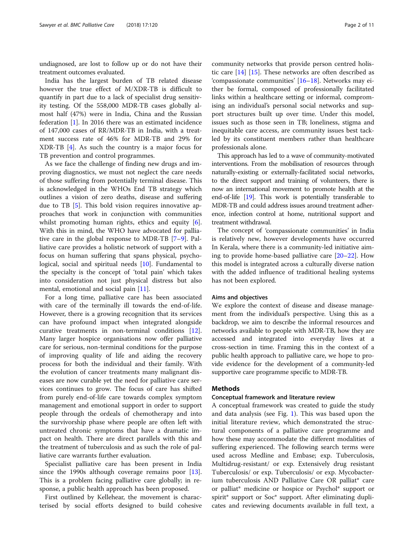undiagnosed, are lost to follow up or do not have their treatment outcomes evaluated.

India has the largest burden of TB related disease however the true effect of M/XDR-TB is difficult to quantify in part due to a lack of specialist drug sensitivity testing. Of the 558,000 MDR-TB cases globally almost half (47%) were in India, China and the Russian federation [\[1](#page-9-0)]. In 2016 there was an estimated incidence of 147,000 cases of RR/MDR-TB in India, with a treatment success rate of 46% for MDR-TB and 29% for XDR-TB [\[4](#page-9-0)]. As such the country is a major focus for TB prevention and control programmes.

As we face the challenge of finding new drugs and improving diagnostics, we must not neglect the care needs of those suffering from potentially terminal disease. This is acknowledged in the WHOs End TB strategy which outlines a vision of zero deaths, disease and suffering due to TB [[5\]](#page-9-0). This bold vision requires innovative approaches that work in conjunction with communities whilst promoting human rights, ethics and equity [\[6](#page-9-0)]. With this in mind, the WHO have advocated for palliative care in the global response to MDR-TB [[7](#page-9-0)–[9](#page-9-0)]. Palliative care provides a holistic network of support with a focus on human suffering that spans physical, psychological, social and spiritual needs [[10\]](#page-9-0). Fundamental to the specialty is the concept of 'total pain' which takes into consideration not just physical distress but also mental, emotional and social pain [\[11\]](#page-9-0).

For a long time, palliative care has been associated with care of the terminally ill towards the end-of-life. However, there is a growing recognition that its services can have profound impact when integrated alongside curative treatments in non-terminal conditions [\[12](#page-9-0)]. Many larger hospice organisations now offer palliative care for serious, non-terminal conditions for the purpose of improving quality of life and aiding the recovery process for both the individual and their family. With the evolution of cancer treatments many malignant diseases are now curable yet the need for palliative care services continues to grow. The focus of care has shifted from purely end-of-life care towards complex symptom management and emotional support in order to support people through the ordeals of chemotherapy and into the survivorship phase where people are often left with untreated chronic symptoms that have a dramatic impact on health. There are direct parallels with this and the treatment of tuberculosis and as such the role of palliative care warrants further evaluation.

Specialist palliative care has been present in India since the 1990s although coverage remains poor [\[13](#page-9-0)]. This is a problem facing palliative care globally; in response, a public health approach has been proposed.

First outlined by Kellehear, the movement is characterised by social efforts designed to build cohesive

community networks that provide person centred holistic care [[14](#page-9-0)] [\[15\]](#page-9-0). These networks are often described as 'compassionate communities' [[16](#page-9-0)–[18](#page-9-0)]. Networks may either be formal, composed of professionally facilitated links within a healthcare setting or informal, compromising an individual's personal social networks and support structures built up over time. Under this model, issues such as those seen in TB; loneliness, stigma and inequitable care access, are community issues best tackled by its constituent members rather than healthcare professionals alone.

This approach has led to a wave of community-motivated interventions. From the mobilisation of resources through naturally-existing or externally-facilitated social networks, to the direct support and training of volunteers, there is now an international movement to promote health at the end-of-life [[19\]](#page-9-0). This work is potentially transferable to MDR-TB and could address issues around treatment adherence, infection control at home, nutritional support and treatment withdrawal.

The concept of 'compassionate communities' in India is relatively new, however developments have occurred In Kerala, where there is a community-led initiative aiming to provide home-based palliative care [\[20](#page-9-0)–[22](#page-10-0)]. How this model is integrated across a culturally diverse nation with the added influence of traditional healing systems has not been explored.

#### Aims and objectives

We explore the context of disease and disease management from the individual's perspective. Using this as a backdrop, we aim to describe the informal resources and networks available to people with MDR-TB, how they are accessed and integrated into everyday lives at a cross-section in time. Framing this in the context of a public health approach to palliative care, we hope to provide evidence for the development of a community-led supportive care programme specific to MDR-TB.

## Methods

## Conceptual framework and literature review

A conceptual framework was created to guide the study and data analysis (see Fig. [1](#page-2-0)). This was based upon the initial literature review, which demonstrated the structural components of a palliative care programme and how these may accommodate the different modalities of suffering experienced. The following search terms were used across Medline and Embase; exp. Tuberculosis, Multidrug-resistant/ or exp. Extensively drug resistant Tuberculosis/ or exp. Tuberculosis/ or exp. Mycobacterium tuberculosis AND Palliative Care OR palliat\* care or palliat\* medicine or hospice or Psychol\* support or spirit\* support or Soc\* support. After eliminating duplicates and reviewing documents available in full text, a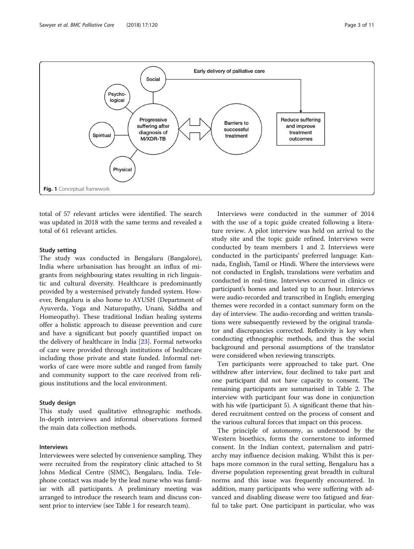<span id="page-2-0"></span>

total of 57 relevant articles were identified. The search was updated in 2018 with the same terms and revealed a total of 61 relevant articles.

## Study setting

The study was conducted in Bengaluru (Bangalore), India where urbanisation has brought an influx of migrants from neighbouring states resulting in rich linguistic and cultural diversity. Healthcare is predominantly provided by a westernised privately funded system. However, Bengaluru is also home to AYUSH (Department of Ayuverda, Yoga and Naturopathy, Unani, Siddha and Homeopathy). These traditional Indian healing systems offer a holistic approach to disease prevention and cure and have a significant but poorly quantified impact on the delivery of healthcare in India [[23](#page-10-0)]. Formal networks of care were provided through institutions of healthcare including those private and state funded. Informal networks of care were more subtle and ranged from family and community support to the care received from religious institutions and the local environment.

## Study design

This study used qualitative ethnographic methods. In-depth interviews and informal observations formed the main data collection methods.

## Interviews

Interviewees were selected by convenience sampling. They were recruited from the respiratory clinic attached to St Johns Medical Centre (SJMC), Bengalaru, India. Telephone contact was made by the lead nurse who was familiar with all participants. A preliminary meeting was arranged to introduce the research team and discuss consent prior to interview (see Table [1](#page-3-0) for research team).

Interviews were conducted in the summer of 2014 with the use of a topic guide created following a literature review. A pilot interview was held on arrival to the study site and the topic guide refined. Interviews were conducted by team members 1 and 2. Interviews were conducted in the participants' preferred language: Kannada, English, Tamil or Hindi. Where the interviews were not conducted in English, translations were verbatim and conducted in real-time. Interviews occurred in clinics or participant's homes and lasted up to an hour. Interviews were audio-recorded and transcribed in English; emerging themes were recorded in a contact summary form on the day of interview. The audio-recording and written translations were subsequently reviewed by the original translator and discrepancies corrected. Reflexivity is key when conducting ethnographic methods, and thus the social background and personal assumptions of the translator were considered when reviewing transcripts.

Ten participants were approached to take part. One withdrew after interview, four declined to take part and one participant did not have capacity to consent. The remaining participants are summarised in Table [2.](#page-3-0) The interview with participant four was done in conjunction with his wife (participant 5). A significant theme that hindered recruitment centred on the process of consent and the various cultural forces that impact on this process.

The principle of autonomy, as understood by the Western bioethics, forms the cornerstone to informed consent. In the Indian context, paternalism and patriarchy may influence decision making. Whilst this is perhaps more common in the rural setting, Bengaluru has a diverse population representing great breadth in cultural norms and this issue was frequently encountered. In addition, many participants who were suffering with advanced and disabling disease were too fatigued and fearful to take part. One participant in particular, who was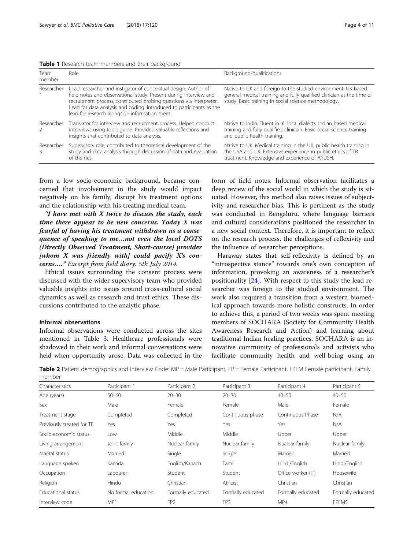<span id="page-3-0"></span>Table 1 Research team members and their background

| Team<br>member              | Role                                                                                                                                                                                                                                                                                                                                 | Background/qualifications                                                                                                                                                                      |  |
|-----------------------------|--------------------------------------------------------------------------------------------------------------------------------------------------------------------------------------------------------------------------------------------------------------------------------------------------------------------------------------|------------------------------------------------------------------------------------------------------------------------------------------------------------------------------------------------|--|
| Researcher                  | Lead researcher and instigator of conceptual design. Author of<br>field notes and observational study. Present during interview and<br>recruitment process, contributed probing questions via interpreter.<br>Lead for data analysis and coding. Introduced to participants as the<br>lead for research alongside information sheet. | Native to UK and foreign to the studied environment. UK based<br>general medical training and fully qualified clinician at the time of<br>study. Basic training in social science methodology. |  |
| Researcher<br>$\mathcal{L}$ | Translator for interview and recruitment process. Helped conduct<br>interviews using topic guide. Provided valuable reflections and<br>insights that contributed to data analysis.                                                                                                                                                   | Native to India. Fluent in all local dialects, Indian based medical<br>training and fully qualified clinician. Basic social science training<br>and public health training.                    |  |
| Researcher<br>3             | Supervisory role, contributed to theoretical development of the<br>study and data analysis through discussion of data and evaluation<br>of themes.                                                                                                                                                                                   | Native to UK. Medical training in the UK, public health training in<br>the USA and UK. Extensive experience in public ethics of TB<br>treatment. Knowledge and experience of AYUSH.            |  |

from a low socio-economic background, became concerned that involvement in the study would impact negatively on his family, disrupt his treatment options and the relationship with his treating medical team.

"I have met with  $X$  twice to discuss the study, each time there appear to be new concerns. Today  $X$  was fearful of having his treatment withdrawn as a consequence of speaking to me…not even the local DOTS (Directly Observed Treatment, Short-course) provider  $[whom\ X\ was\ friendly\ with] \ could\ pacify\ X's\ con$ cerns…." Excerpt from field diary: 5th July 2014.

Ethical issues surrounding the consent process were discussed with the wider supervisory team who provided valuable insights into issues around cross-cultural social dynamics as well as research and trust ethics. These discussions contributed to the analytic phase.

## Informal observations

Informal observations were conducted across the sites mentioned in Table [3.](#page-4-0) Healthcare professionals were shadowed in their work and informal conversations were held when opportunity arose. Data was collected in the form of field notes. Informal observation facilitates a deep review of the social world in which the study is situated. However, this method also raises issues of subjectivity and researcher bias. This is pertinent as the study was conducted in Bengaluru, where language barriers and cultural considerations positioned the researcher in a new social context. Therefore, it is important to reflect on the research process, the challenges of reflexivity and the influence of researcher perceptions.

Haraway states that self-reflexivity is defined by an "introspective stance" towards one's own conception of information, provoking an awareness of a researcher's positionality [\[24\]](#page-10-0). With respect to this study the lead researcher was foreign to the studied environment. The work also required a transition from a western biomedical approach towards more holistic constructs. In order to achieve this, a period of two weeks was spent meeting members of SOCHARA (Society for Community Health Awareness Research and Action) and learning about traditional Indian healing practices. SOCHARA is an innovative community of professionals and activists who facilitate community health and well-being using an

Table 2 Patient demographics and Interview Code: MP = Male Participant, FP = Female Participant, FPFM Female participant, Family member

| Characteristics           | Participant 1       | Participant 2     | Participant 3     | Participant 4      | Participant 5     |
|---------------------------|---------------------|-------------------|-------------------|--------------------|-------------------|
| Age (years)               | $50 - 60$           | $20 - 30$         | $20 - 30$         | $40 - 50$          | $40 - 50$         |
| Sex                       | Male                | Female            | Female            | Male               | Female            |
| Treatment stage           | Completed           | Completed         | Continuous phase  | Continuous Phase   | N/A               |
| Previously treated for TB | Yes                 | Yes               | Yes               | Yes                | N/A               |
| Socio-economic status     | Low                 | Middle            | Middle            | Upper              | Upper             |
| Living arrangement        | Joint family        | Nuclear family    | Nuclear family    | Nuclear family     | Nuclear family    |
| Marital status            | Married             | Single            | Single            | Married            | Married           |
| Language spoken           | Kanada              | English/Kanada    | Tamil             | Hindi/English      | Hindi/English     |
| Occupation                | Labourer            | Student           | Student           | Office worker (IT) | Housewife         |
| Religion                  | Hindu               | Christian         | Atheist           | Christian          | Christian         |
| <b>Educational status</b> | No formal education | Formally educated | Formally educated | Formally educated  | Formally educated |
| Interview code            | MP1                 | FP <sub>2</sub>   | FP3               | MP4                | FPFM5             |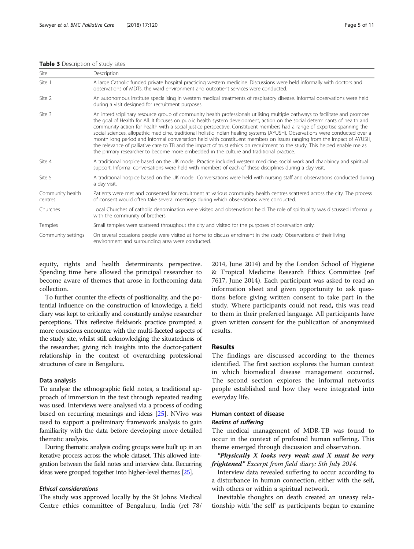#### <span id="page-4-0"></span>Table 3 Description of study sites

| Site                        | Description                                                                                                                                                                                                                                                                                                                                                                                                                                                                                                                                                                                                                                                                                                                                                                                                                                                                |  |  |
|-----------------------------|----------------------------------------------------------------------------------------------------------------------------------------------------------------------------------------------------------------------------------------------------------------------------------------------------------------------------------------------------------------------------------------------------------------------------------------------------------------------------------------------------------------------------------------------------------------------------------------------------------------------------------------------------------------------------------------------------------------------------------------------------------------------------------------------------------------------------------------------------------------------------|--|--|
| Site 1                      | A large Catholic funded private hospital practicing western medicine. Discussions were held informally with doctors and<br>observations of MDTs, the ward environment and outpatient services were conducted.                                                                                                                                                                                                                                                                                                                                                                                                                                                                                                                                                                                                                                                              |  |  |
| Site 2                      | An autonomous institute specialising in western medical treatments of respiratory disease. Informal observations were held<br>during a visit designed for recruitment purposes.                                                                                                                                                                                                                                                                                                                                                                                                                                                                                                                                                                                                                                                                                            |  |  |
| Site 3                      | An interdisciplinary resource group of community health professionals utilising multiple pathways to facilitate and promote<br>the goal of Health for All. It focuses on public health system development, action on the social determinants of health and<br>community action for health with a social justice perspective. Constituent members had a range of expertise spanning the<br>social sciences, allopathic medicine, traditional holistic Indian healing systems (AYUSH). Observations were conducted over a<br>month long period and informal conversation held with constituent members on issues ranging from the impact of AYUSH,<br>the relevance of palliative care to TB and the impact of trust ethics on recruitment to the study. This helped enable me as<br>the primary researcher to become more embedded in the culture and traditional practice. |  |  |
| Site 4                      | A traditional hospice based on the UK model. Practice included western medicine, social work and chaplaincy and spiritual<br>support. Informal conversations were held with members of each of these disciplines during a day visit.                                                                                                                                                                                                                                                                                                                                                                                                                                                                                                                                                                                                                                       |  |  |
| Site 5                      | A traditional hospice based on the UK model. Conversations were held with nursing staff and observations conducted during<br>a day visit.                                                                                                                                                                                                                                                                                                                                                                                                                                                                                                                                                                                                                                                                                                                                  |  |  |
| Community health<br>centres | Patients were met and consented for recruitment at various community health centres scattered across the city. The process<br>of consent would often take several meetings during which observations were conducted.                                                                                                                                                                                                                                                                                                                                                                                                                                                                                                                                                                                                                                                       |  |  |
| Churches                    | Local Churches of catholic denomination were visited and observations held. The role of spirituality was discussed informally<br>with the community of brothers.                                                                                                                                                                                                                                                                                                                                                                                                                                                                                                                                                                                                                                                                                                           |  |  |
| Temples                     | Small temples were scattered throughout the city and visited for the purposes of observation only.                                                                                                                                                                                                                                                                                                                                                                                                                                                                                                                                                                                                                                                                                                                                                                         |  |  |
| Community settings          | On several occasions people were visited at home to discuss enrolment in the study. Observations of their living<br>environment and surrounding area were conducted.                                                                                                                                                                                                                                                                                                                                                                                                                                                                                                                                                                                                                                                                                                       |  |  |

equity, rights and health determinants perspective. Spending time here allowed the principal researcher to become aware of themes that arose in forthcoming data collection.

To further counter the effects of positionality, and the potential influence on the construction of knowledge, a field diary was kept to critically and constantly analyse researcher perceptions. This reflexive fieldwork practice prompted a more conscious encounter with the multi-faceted aspects of the study site, whilst still acknowledging the situatedness of the researcher, giving rich insights into the doctor-patient relationship in the context of overarching professional structures of care in Bengaluru.

## Data analysis

To analyse the ethnographic field notes, a traditional approach of immersion in the text through repeated reading was used. Interviews were analysed via a process of coding based on recurring meanings and ideas [[25](#page-10-0)]. NVivo was used to support a preliminary framework analysis to gain familiarity with the data before developing more detailed thematic analysis.

During thematic analysis coding groups were built up in an iterative process across the whole dataset. This allowed integration between the field notes and interview data. Recurring ideas were grouped together into higher-level themes [\[25](#page-10-0)].

## Ethical considerations

The study was approved locally by the St Johns Medical Centre ethics committee of Bengaluru, India (ref 78/ 2014, June 2014) and by the London School of Hygiene & Tropical Medicine Research Ethics Committee (ref 7617, June 2014). Each participant was asked to read an information sheet and given opportunity to ask questions before giving written consent to take part in the study. Where participants could not read, this was read to them in their preferred language. All participants have given written consent for the publication of anonymised results.

## Results

The findings are discussed according to the themes identified. The first section explores the human context in which biomedical disease management occurred. The second section explores the informal networks people established and how they were integrated into everyday life.

## Human context of disease Realms of suffering

The medical management of MDR-TB was found to occur in the context of profound human suffering. This theme emerged through discussion and observation.

"Physically  $X$  looks very weak and  $X$  must be very frightened" Excerpt from field diary: 5th July 2014.

Interview data revealed suffering to occur according to a disturbance in human connection, either with the self, with others or within a spiritual network.

Inevitable thoughts on death created an uneasy relationship with 'the self' as participants began to examine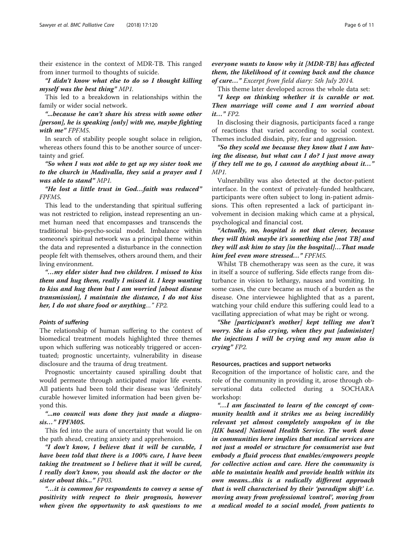their existence in the context of MDR-TB. This ranged from inner turmoil to thoughts of suicide.

"I didn't know what else to do so I thought killing myself was the best thing" MP1.

This led to a breakdown in relationships within the family or wider social network.

"...because he can't share his stress with some other  $[person]$ , he is speaking  $[only]$  with me, maybe fighting with me" FPFM5.

In search of stability people sought solace in religion, whereas others found this to be another source of uncertainty and grief.

"So when I was not able to get up my sister took me to the church in Madivalla, they said a prayer and I was able to stand" MP1.

"He lost a little trust in God…faith was reduced" FPFM5.

This lead to the understanding that spiritual suffering was not restricted to religion, instead representing an unmet human need that encompasses and transcends the traditional bio-psycho-social model. Imbalance within someone's spiritual network was a principal theme within the data and represented a disturbance in the connection people felt with themselves, others around them, and their living environment.

"…my elder sister had two children. I missed to kiss them and hug them, really I missed it. I keep wanting to kiss and hug them but I am worried [about disease transmission], I maintain the distance, I do not kiss her, I do not share food or anything..." FP2.

## Points of suffering

The relationship of human suffering to the context of biomedical treatment models highlighted three themes upon which suffering was noticeably triggered or accentuated; prognostic uncertainty, vulnerability in disease disclosure and the trauma of drug treatment.

Prognostic uncertainty caused spiralling doubt that would permeate through anticipated major life events. All patients had been told their disease was 'definitely' curable however limited information had been given beyond this.

"...no council was done they just made a diagnosis…" FPFM05.

This fed into the aura of uncertainty that would lie on the path ahead, creating anxiety and apprehension.

"I don't know, I believe that it will be curable, I have been told that there is a 100% cure, I have been taking the treatment so I believe that it will be cured, I really don't know, you should ask the doctor or the sister about this..." FP03.

"…it is common for respondents to convey a sense of positivity with respect to their prognosis, however when given the opportunity to ask questions to me

everyone wants to know why it [MDR-TB] has affected them, the likelihood of it coming back and the chance of cure…" Excerpt from field diary: 5th July 2014.

This theme later developed across the whole data set:

"I keep on thinking whether it is curable or not. Then marriage will come and I am worried about it…" FP2.

In disclosing their diagnosis, participants faced a range of reactions that varied according to social context. Themes included disdain, pity, fear and aggression.

"So they scold me because they know that I am having the disease, but what can I do? I just move away if they tell me to go, I cannot do anything about it…" MP1.

Vulnerability was also detected at the doctor-patient interface. In the context of privately-funded healthcare, participants were often subject to long in-patient admissions. This often represented a lack of participant involvement in decision making which came at a physical, psychological and financial cost.

"Actually, no, hospital is not that clever, because they will think maybe it's something else [not TB] and they will ask him to stay [in the hospital]…That made him feel even more stressed..." FPFM5.

Whilst TB chemotherapy was seen as the cure, it was in itself a source of suffering. Side effects range from disturbance in vision to lethargy, nausea and vomiting. In some cases, the cure became as much of a burden as the disease. One interviewee highlighted that as a parent, watching your child endure this suffering could lead to a vacillating appreciation of what may be right or wrong.

"She [participant's mother] kept telling me don't worry. She is also crying, when they put [administer] the injections I will be crying and my mum also is crying" FP2.

## Resources, practices and support networks

Recognition of the importance of holistic care, and the role of the community in providing it, arose through observational data collected during a SOCHARA workshop:

"…I am fascinated to learn of the concept of community health and it strikes me as being incredibly relevant yet almost completely unspoken of in the [UK based] National Health Service. The work done in communities here implies that medical services are not just a model or structure for consumerist use but embody a fluid process that enables/empowers people for collective action and care. Here the community is able to maintain health and provide health within its own means...this is a radically different approach that is well characterised by their 'paradigm shift' i.e. moving away from professional 'control', moving from a medical model to a social model, from patients to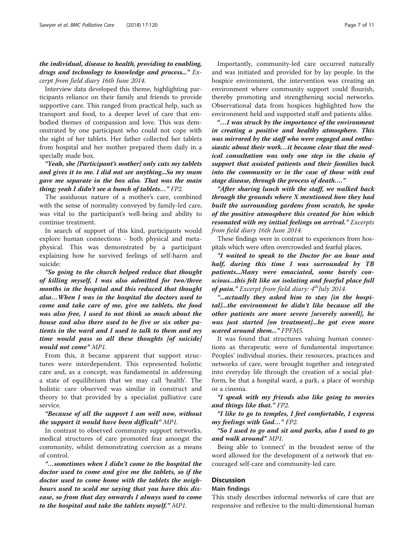## the individual, disease to health, providing to enabling, drugs and technology to knowledge and process..." Excerpt from field diary 16th June 2014.

Interview data developed this theme, highlighting participants reliance on their family and friends to provide supportive care. This ranged from practical help, such as transport and food, to a deeper level of care that embodied themes of compassion and love. This was demonstrated by one participant who could not cope with the sight of her tablets. Her father collected her tablets from hospital and her mother prepared them daily in a specially made box.

"Yeah, she [Participant's mother] only cuts my tablets and gives it to me. I did not see anything...So my mum gave me separate in the box also. That was the main thing; yeah I didn't see a bunch of tablets…" FP2.

The assiduous nature of a mother's care, combined with the sense of normality conveyed by family-led care, was vital to the participant's well-being and ability to continue treatment.

In search of support of this kind, participants would explore human connections - both physical and metaphysical. This was demonstrated by a participant explaining how he survived feelings of self-harm and suicide:

"So going to the church helped reduce that thought of killing myself, I was also admitted for two/three months in the hospital and this reduced that thought also…When I was in the hospital the doctors used to come and take care of me, give me tablets, the food was also free, I used to not think so much about the house and also there used to be five or six other patients in the ward and I used to talk to them and my time would pass so all these thoughts [of suicide] would not come" MP1.

From this, it became apparent that support structures were interdependent. This represented holistic care and, as a concept, was fundamental in addressing a state of equilibrium that we may call 'health'. The holistic care observed was similar in construct and theory to that provided by a specialist palliative care service.

## "Because of all the support I am well now, without the support it would have been difficult" MP1.

In contrast to observed community support networks, medical structures of care promoted fear amongst the community, whilst demonstrating coercion as a means of control.

"…sometimes when I didn't come to the hospital the doctor used to come and give me the tablets, so if the doctor used to come home with the tablets the neighbours used to scold me saying that you have this disease, so from that day onwards I always used to come to the hospital and take the tablets myself." MP1.

Importantly, community-led care occurred naturally and was initiated and provided for by lay people. In the hospice environment, the intervention was creating an environment where community support could flourish, thereby promoting and strengthening social networks. Observational data from hospices highlighted how the environment held and supported staff and patients alike.

"…I was struck by the importance of the environment in creating a positive and healthy atmosphere. This was mirrored by the staff who were engaged and enthusiastic about their work…it became clear that the medical consultation was only one step in the chain of support that assisted patients and their families back into the community or in the case of those with end stage disease, through the process of death…."

"After sharing lunch with the staff, we walked back through the grounds where X mentioned how they had built the surrounding gardens from scratch, he spoke of the positive atmosphere this created for him which resonated with my initial feelings on arrival." Excerpts from field diary 16th June 2014.

These findings were in contrast to experiences from hospitals which were often overcrowded and fearful places.

"I waited to speak to the Doctor for an hour and half, during this time I was surrounded by TB patients...Many were emaciated, some barely conscious...this felt like an isolating and fearful place full of pain." Excerpt from field diary:  $4<sup>th</sup>$ July 2014.

"...actually they asked him to stay [in the hospital]...the environment he didn't like because all the other patients are more severe [severely unwell], he was just started [on treatment]...he got even more scared around them..." FPFM5.

It was found that structures valuing human connections as therapeutic were of fundamental importance. Peoples' individual stories, their resources, practices and networks of care, were brought together and integrated into everyday life through the creation of a social platform, be that a hospital ward, a park, a place of worship or a cinema.

"I speak with my friends also like going to movies and things like that." FP2.

"I like to go to temples, I feel comfortable, I express my feelings with God…" FP2.

"So I used to go and sit and parks, also I used to go and walk around" MP1.

Being able to 'connect' in the broadest sense of the word allowed for the development of a network that encouraged self-care and community-led care.

## Discussion

## Main findings

This study describes informal networks of care that are responsive and reflexive to the multi-dimensional human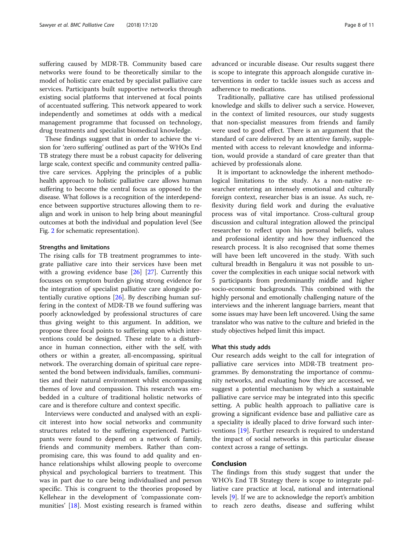suffering caused by MDR-TB. Community based care networks were found to be theoretically similar to the model of holistic care enacted by specialist palliative care services. Participants built supportive networks through existing social platforms that intervened at focal points of accentuated suffering. This network appeared to work independently and sometimes at odds with a medical management programme that focussed on technology, drug treatments and specialist biomedical knowledge.

These findings suggest that in order to achieve the vision for 'zero suffering' outlined as part of the WHOs End TB strategy there must be a robust capacity for delivering large scale, context specific and community centred palliative care services. Applying the principles of a public health approach to holistic palliative care allows human suffering to become the central focus as opposed to the disease. What follows is a recognition of the interdependence between supportive structures allowing them to realign and work in unison to help bring about meaningful outcomes at both the individual and population level (See Fig. [2](#page-8-0) for schematic representation).

## Strengths and limitations

The rising calls for TB treatment programmes to integrate palliative care into their services have been met with a growing evidence base [\[26](#page-10-0)] [\[27\]](#page-10-0). Currently this focusses on symptom burden giving strong evidence for the integration of specialist palliative care alongside potentially curative options [[26](#page-10-0)]. By describing human suffering in the context of MDR-TB we found suffering was poorly acknowledged by professional structures of care thus giving weight to this argument. In addition, we propose three focal points to suffering upon which interventions could be designed. These relate to a disturbance in human connection, either with the self, with others or within a greater, all-encompassing, spiritual network. The overarching domain of spiritual care represented the bond between individuals, families, communities and their natural environment whilst encompassing themes of love and compassion. This research was embedded in a culture of traditional holistic networks of care and is therefore culture and context specific.

Interviews were conducted and analysed with an explicit interest into how social networks and community structures related to the suffering experienced. Participants were found to depend on a network of family, friends and community members. Rather than compromising care, this was found to add quality and enhance relationships whilst allowing people to overcome physical and psychological barriers to treatment. This was in part due to care being individualised and person specific. This is congruent to the theories proposed by Kellehear in the development of 'compassionate communities' [[18](#page-9-0)]. Most existing research is framed within advanced or incurable disease. Our results suggest there is scope to integrate this approach alongside curative interventions in order to tackle issues such as access and adherence to medications.

Traditionally, palliative care has utilised professional knowledge and skills to deliver such a service. However, in the context of limited resources, our study suggests that non-specialist measures from friends and family were used to good effect. There is an argument that the standard of care delivered by an attentive family, supplemented with access to relevant knowledge and information, would provide a standard of care greater than that achieved by professionals alone.

It is important to acknowledge the inherent methodological limitations to the study. As a non-native researcher entering an intensely emotional and culturally foreign context, researcher bias is an issue. As such, reflexivity during field work and during the evaluative process was of vital importance. Cross-cultural group discussion and cultural integration allowed the principal researcher to reflect upon his personal beliefs, values and professional identity and how they influenced the research process. It is also recognised that some themes will have been left uncovered in the study. With such cultural breadth in Bengaluru it was not possible to uncover the complexities in each unique social network with 5 participants from predominantly middle and higher socio-economic backgrounds. This combined with the highly personal and emotionally challenging nature of the interviews and the inherent language barriers, meant that some issues may have been left uncovered. Using the same translator who was native to the culture and briefed in the study objectives helped limit this impact.

## What this study adds

Our research adds weight to the call for integration of palliative care services into MDR-TB treatment programmes. By demonstrating the importance of community networks, and evaluating how they are accessed, we suggest a potential mechanism by which a sustainable palliative care service may be integrated into this specific setting. A public health approach to palliative care is growing a significant evidence base and palliative care as a speciality is ideally placed to drive forward such interventions [\[19](#page-9-0)]. Further research is required to understand the impact of social networks in this particular disease context across a range of settings.

## Conclusion

The findings from this study suggest that under the WHO's End TB Strategy there is scope to integrate palliative care practice at local, national and international levels [\[9](#page-9-0)]. If we are to acknowledge the report's ambition to reach zero deaths, disease and suffering whilst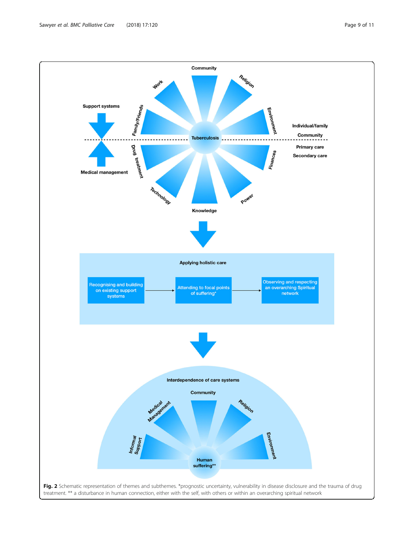<span id="page-8-0"></span>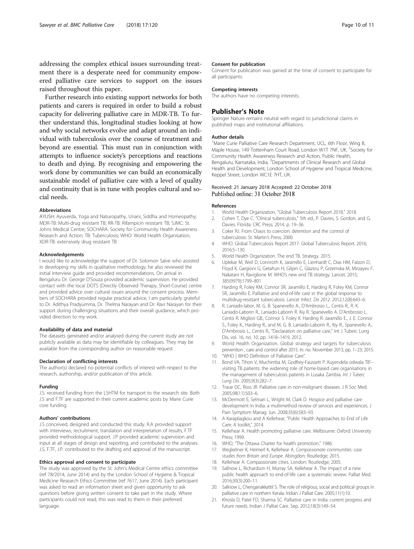<span id="page-9-0"></span>addressing the complex ethical issues surrounding treatment there is a desperate need for community empowered palliative care services to support on the issues raised throughout this paper.

Further research into existing support networks for both patients and carers is required in order to build a robust capacity for delivering palliative care in MDR-TB. To further understand this, longitudinal studies looking at how and why social networks evolve and adapt around an individual with tuberculosis over the course of treatment and beyond are essential. This must run in conjunction with attempts to influence society's perceptions and reactions to death and dying. By recognising and empowering the work done by communities we can build an economically sustainable model of palliative care with a level of quality and continuity that is in tune with peoples cultural and social needs.

#### Abbreviations

AYUSH: Ayuverda, Yoga and Naturopathy, Unani, Siddha and Homeopathy; MDR-TB: Multi-drug resistant TB; RR-TB: Rifampicin resistant TB; SJMC: St. Johns Medical Centre; SOCHARA: Society for Community Health Awareness Research and Action; TB: Tuberculosis; WHO: World Health Organisation; XDR-TB: extensively drug resistant TB

#### Acknowledgements

I would like to acknowledge the support of Dr. Solomon Salve who assisted in developing my skills in qualitative methodology; he also reviewed the initial interview guide and provided recommendations. On arrival in Bengaluru Dr. George D'Souza provided academic supervision. He provided contact with the local DOTS (Directly Observed Therapy, Short-Course) centre and provided advice over cultural issues around the consent process. Members of SOCHARA provided regular practical advice, I am particularly grateful to Dr. Adithya Pradyumma, Dr. Thelma Narayan and Dr. Ravi Narayan for their support during challenging situations and their overall guidance, which provided direction to my work.

## Availability of data and material

The datasets generated and/or analysed during the current study are not publicly available as data may be identifiable by colleagues. They may be available from the corresponding author on reasonable request.

#### Declaration of conflicting interests

The author(s) declared no potential conflicts of interest with respect to the research, authorship, and/or publication of this article.

#### Funding

J.S. received funding from the LSHTM for transport to the research site. Both J.S and F.TF are supported in their current academic posts by Marie Curie core funding.

#### Authors' contributions

J.S conceived, designed and conducted this study. R.A provided support with interviews, recruitment, translation and interpretation of results, F.TF provided methodological support. J.P provided academic supervision and input at all stages of design and reporting, and contributed to the analyses. J.S, F.TF, J.P. contributed to the drafting and approval of the manuscript.

## Ethics approval and consent to participate

The study was approved by the St. John's Medical Centre ethics committee (ref 78/2014, June 2014) and by the London School of Hygiene & Tropical Medicine Research Ethics Committee (ref 7617, June 2014). Each participant was asked to read an information sheet and given opportunity to ask questions before giving written consent to take part in the study. Where participants could not read, this was read to them in their preferred language.

#### Consent for publication

Consent for publication was gained at the time of consent to participate for all participants.

#### Competing interests

The authors have no competing interests.

## Publisher's Note

Springer Nature remains neutral with regard to jurisdictional claims in published maps and institutional affiliations.

#### Author details

<sup>1</sup> Marie Curie Palliative Care Research Department, UCL, 6th Floor, Wing B Maple House, 149 Tottenham Court Road, London W1T 7NF, UK. <sup>2</sup>Society for Community Health Awareness Research and Action, Public Health, Bengaluru, Karnataka, India. <sup>3</sup>Departments of Clinical Research and Global Health and Development, London School of Hygiene and Tropical Medicine, Keppel Street, London WC1E 7HT, UK.

## Received: 21 January 2018 Accepted: 22 October 2018 Published online: 31 October 2018

#### References

- 1. World Health Organization, "Global Tuberculosis Report 2018," 2018.
- 2. Cohen T, Dye C. "Clinical tuberculosis," 5th ed., P. Davies, S. Gordon, and G. Davies. Florida: CRC Press; 2014. p. 19–36.
- 3. Coker RJ. From Chaos to coercion: detention and the control of tuberculosis: St. Martin's Press; 2000.
- 4. WHO. Global Tuberculosis Report 2017. Global Tuberculosis Report. 2016; 2016:5–130.
- 5. World Health Organization. The end TB. Strategy. 2015.
- 6. Uplekar M, Weil D, Lonnroth K, Jaramillo E, Lienhardt C, Dias HM, Falzon D, Floyd K, Gargioni G, Getahun H, Gilpin C, Glaziou P, Grzemska M, Mirzayev F, Nakatani H, Raviglione M. WHO's new end TB strategy. Lancet. 2015; 385(9979):1799–801.
- 7. Harding R, Foley KM, Connor SR, Jaramillo E, Harding R, Foley KM, Connor SR, Jaramillo E. Palliative and end-of-life care in the global response to multidrug-resistant tuberculosis. Lancet Infect. Dis 2012. 2012;12(8):643–6.
- 8. R. Laniado-labor, M. G. B. Spanevello A., D'Ambrosio L., Centis R., R. K. Laniado-Laborin R., Laniado-Laborin R. Kiy R. Spanevello A. D'Ambrosio L. Centis R. Migliori GB., Connor S. Foley K. Harding R. Jaramillo E., J. E. Connor S., Foley K., Harding R., and M. G. B. Laniado-Laborin R., Kiy R., Spanevello A., D'Ambrosio L., Centis R., "Declaration on palliative care," Int J Tuberc Lung Dis, vol. 16, no. 10, pp. 1418–1419, 2012.
- 9. World Health Organization. Global strategy and targets for tuberculosis prevention , care and control after 2015. In: no. November 2013, pp. 1–23; 2015. 10. "WHO | WHO Definition of Palliative Care".
- 
- 11. Bond VA, Tihon V, Muchimba M, Godfrey-Faussett P. Kuyendela odwala TB'- visiting TB patients: the widening role of home-based care organisations in the management of tuberculosis patients in Lusaka Zambia. Int J Tuberc Lung Dis. 2005;9(3):282–7.
- 12. Traue DC, Ross JR. Palliative care in non-malignant diseases. J R Soc Med. 2005;98(11):503–6.
- 13. McDermott E, Selman L, Wright M, Clark D. Hospice and palliative care development in India: a multimethod review of services and experiences. J Pain Symptom Manag. Jun. 2008;35(6):583–93.
- 14. A Karapliagkou and A Kellehear, "Public Health Approaches to End of Life Care: A toolkit," 2014.
- 15. Kellehear A. Health promoting palliative care. Melbourne: Oxford University Press; 1999.
- 16. WHO, "The Ottawa Charter for health promotion," 1986.
- 17. Wegleitner K, Heimerl K, Kellehear A. Compassionate communities: case studies from Britain and Europe. Abingdon: Routledge; 2015.
- 18. Kellehear A. Compassionate cities. London: Routledge; 2005.
- 19. Sallnow L, Richardson H, Murray SA, Kellehear A. The impact of a new public health approach to end-of-life care: a systematic review. Palliat Med. 2016;30(3):200–11.
- 20. Sallnow L, Chenganakkattil S. The role of religious, social and political groups in palliative care in northern Kerala. Indian J Palliat Care. 2005;11(1):10.
- 21. Khosla D, Patel FD, Sharma SC. Palliative care in India: current progress and future needs. Indian J Palliat Care. Sep. 2012;18(3):149–54.